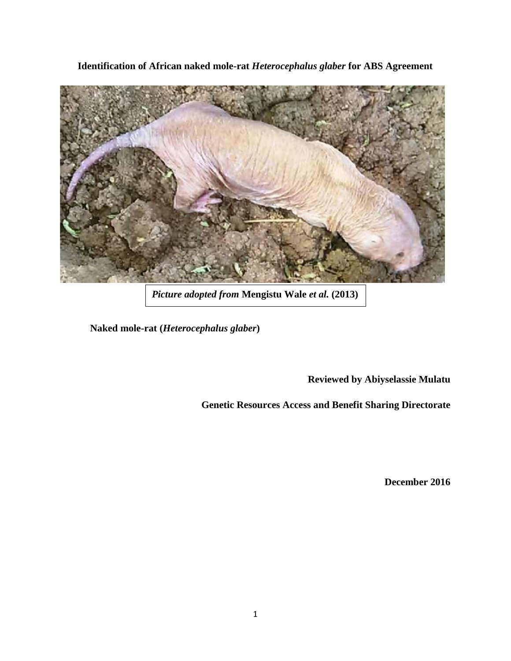**Identification of African naked mole-rat** *Heterocephalus glaber* **for ABS Agreement**



*Picture adopted from* **Mengistu Wale** *et al.* **(2013)**

**Naked mole-rat (***Heterocephalus glaber***)**

**Reviewed by Abiyselassie Mulatu**

**Genetic Resources Access and Benefit Sharing Directorate**

**December 2016**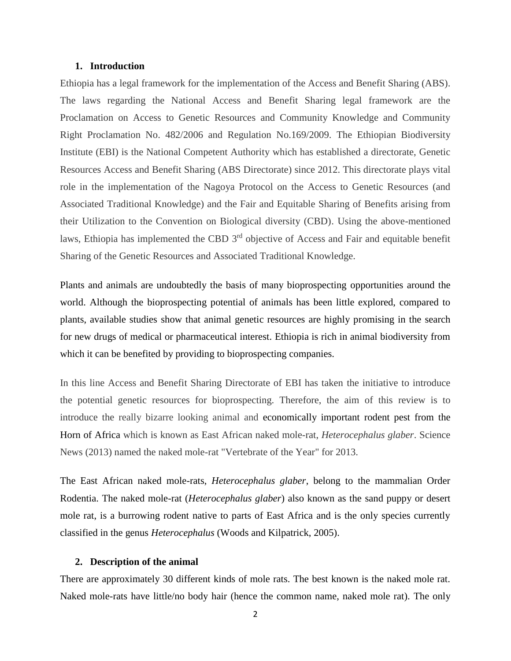# **1. Introduction**

Ethiopia has a legal framework for the implementation of the Access and Benefit Sharing (ABS). The laws regarding the National Access and Benefit Sharing legal framework are the Proclamation on Access to Genetic Resources and Community Knowledge and Community Right Proclamation No. 482/2006 and Regulation No.169/2009. The Ethiopian Biodiversity Institute (EBI) is the National Competent Authority which has established a directorate, Genetic Resources Access and Benefit Sharing (ABS Directorate) since 2012. This directorate plays vital role in the implementation of the Nagoya Protocol on the Access to Genetic Resources (and Associated Traditional Knowledge) and the Fair and Equitable Sharing of Benefits arising from their Utilization to the Convention on Biological diversity (CBD). Using the above-mentioned laws, Ethiopia has implemented the CBD 3<sup>rd</sup> objective of Access and Fair and equitable benefit Sharing of the Genetic Resources and Associated Traditional Knowledge.

Plants and animals are undoubtedly the basis of many bioprospecting opportunities around the world. Although the bioprospecting potential of animals has been little explored, compared to plants, available studies show that animal genetic resources are highly promising in the search for new drugs of medical or pharmaceutical interest. Ethiopia is rich in animal biodiversity from which it can be benefited by providing to bioprospecting companies.

In this line Access and Benefit Sharing Directorate of EBI has taken the initiative to introduce the potential genetic resources for bioprospecting. Therefore, the aim of this review is to introduce the really bizarre looking animal and economically important rodent pest from the Horn of Africa which is known as East African naked mole-rat, *Heterocephalus glaber*. Science News (2013) named the naked mole-rat "Vertebrate of the Year" for 2013.

The East African naked mole-rats, *Heterocephalus glaber*, belong to the mammalian Order Rodentia. The naked mole-rat *(Heterocephalus glaber)* also known as the sand puppy or desert mole rat, is a burrowing rodent native to parts of East Africa and is the only species currently classified in the genus *Heterocephalus* (Woods and Kilpatrick, 2005).

#### **2. Description of the animal**

There are approximately 30 different kinds of mole rats. The best known is the naked mole rat. Naked mole-rats have little/no body hair (hence the common name, naked mole rat). The only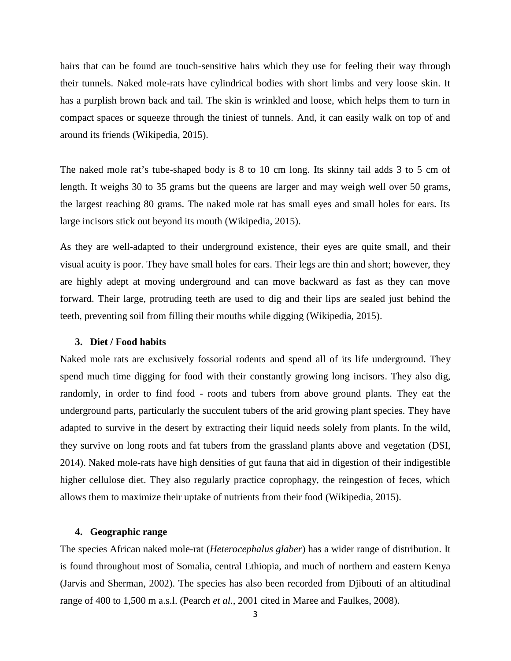hairs that can be found are touch-sensitive hairs which they use for feeling their way through their tunnels. Naked mole-rats have cylindrical bodies with short limbs and very loose skin. It has a purplish brown back and tail. The skin is wrinkled and loose, which helps them to turn in compact spaces or squeeze through the tiniest of tunnels. And, it can easily walk on top of and around its friends (Wikipedia, 2015).

The naked mole rat's tube-shaped body is 8 to 10 cm long. Its skinny tail adds 3 to 5 cm of length. It weighs 30 to 35 grams but the queens are larger and may weigh well over 50 grams, the largest reaching 80 grams. The naked mole rat has small eyes and small holes for ears. Its large incisors stick out beyond its mouth (Wikipedia, 2015).

As they are well-adapted to their underground existence, their eyes are quite small, and their visual acuity is poor. They have small holes for ears. Their legs are thin and short; however, they are highly adept at moving underground and can move backward as fast as they can move forward. Their large, protruding teeth are used to dig and their lips are sealed just behind the teeth, preventing soil from filling their mouths while digging (Wikipedia, 2015).

#### **3. Diet / Food habits**

Naked mole rats are exclusively fossorial rodents and spend all of its life underground. They spend much time digging for food with their constantly growing long incisors. They also dig, randomly, in order to find food - roots and tubers from above ground plants. They eat the underground parts, particularly the succulent tubers of the arid growing plant species. They have adapted to survive in the desert by extracting their liquid needs solely from plants. In the wild, they survive on long roots and fat tubers from the grassland plants above and vegetation (DSI, 2014). Naked mole-rats have high densities of gut fauna that aid in digestion of their indigestible higher cellulose diet. They also regularly practice coprophagy, the reingestion of feces, which allows them to maximize their uptake of nutrients from their food (Wikipedia, 2015).

# **4. Geographic range**

The species African naked mole-rat (*Heterocephalus glaber*) has a wider range of distribution. It is found throughout most of Somalia, central Ethiopia, and much of northern and eastern Kenya (Jarvis and Sherman, 2002). The species has also been recorded from Djibouti of an altitudinal range of 400 to 1,500 m a.s.l. (Pearch *et al*., 2001 cited in Maree and Faulkes, 2008).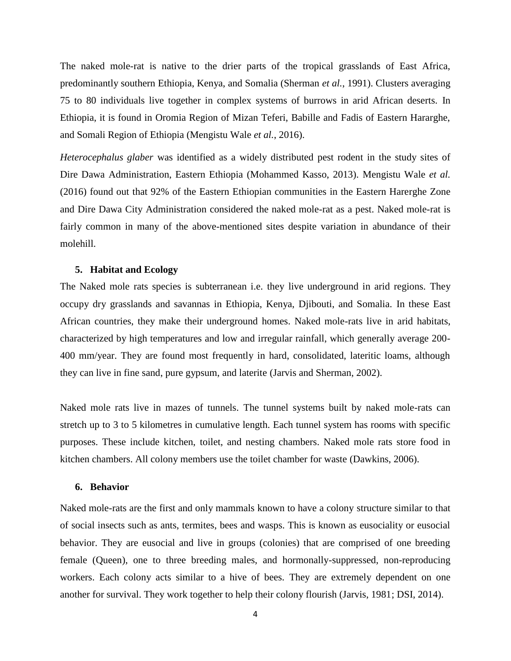The naked mole-rat is native to the drier parts of the tropical grasslands of East Africa, predominantly southern Ethiopia, Kenya, and Somalia (Sherman *et al.*, 1991). Clusters averaging 75 to 80 individuals live together in complex systems of burrows in arid African deserts. In Ethiopia, it is found in Oromia Region of Mizan Teferi, Babille and Fadis of Eastern Hararghe, and Somali Region of Ethiopia (Mengistu Wale *et al.*, 2016).

*Heterocephalus glaber* was identified as a widely distributed pest rodent in the study sites of Dire Dawa Administration, Eastern Ethiopia (Mohammed Kasso, 2013). Mengistu Wale *et al.* (2016) found out that 92% of the Eastern Ethiopian communities in the Eastern Harerghe Zone and Dire Dawa City Administration considered the naked mole-rat as a pest. Naked mole-rat is fairly common in many of the above-mentioned sites despite variation in abundance of their molehill.

#### **5. Habitat and Ecology**

The Naked mole rats species is subterranean i.e. they live underground in arid regions. They occupy dry grasslands and savannas in Ethiopia, Kenya, Djibouti, and Somalia. In these East African countries, they make their underground homes. Naked mole-rats live in arid habitats, characterized by high temperatures and low and irregular rainfall, which generally average 200- 400 mm/year. They are found most frequently in hard, consolidated, lateritic loams, although they can live in fine sand, pure gypsum, and laterite (Jarvis and Sherman, 2002).

Naked mole rats live in mazes of tunnels. The tunnel systems built by naked mole-rats can stretch up to 3 to 5 kilometres in cumulative length. Each tunnel system has rooms with specific purposes. These include kitchen, toilet, and nesting chambers. Naked mole rats store food in kitchen chambers. All colony members use the toilet chamber for waste (Dawkins, 2006).

## **6. Behavior**

Naked mole-rats are the first and only mammals known to have a colony structure similar to that of social insects such as ants, termites, bees and wasps. This is known as eusociality or eusocial behavior. They are eusocial and live in groups (colonies) that are comprised of one breeding female (Queen), one to three breeding males, and hormonally-suppressed, non-reproducing workers. Each colony acts similar to a hive of bees. They are extremely dependent on one another for survival. They work together to help their colony flourish (Jarvis, 1981; DSI, 2014).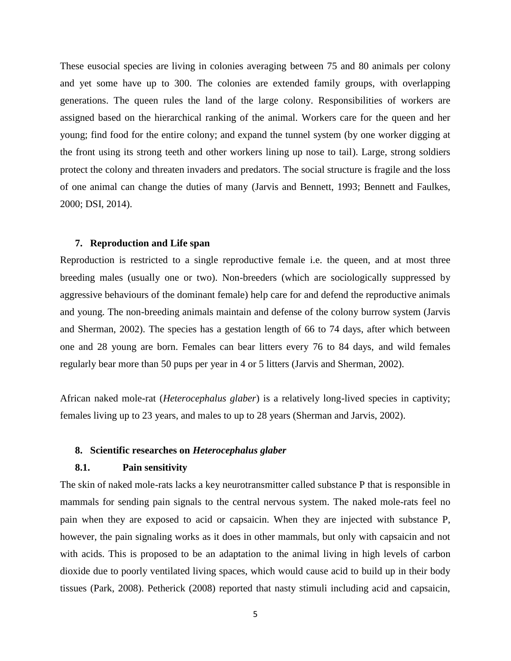These eusocial species are living in colonies averaging between 75 and 80 animals per colony and yet some have up to 300. The colonies are extended family groups, with overlapping generations. The queen rules the land of the large colony. Responsibilities of workers are assigned based on the hierarchical ranking of the animal. Workers care for the queen and her young; find food for the entire colony; and expand the tunnel system (by one worker digging at the front using its strong teeth and other workers lining up nose to tail). Large, strong soldiers protect the colony and threaten invaders and predators. The social structure is fragile and the loss of one animal can change the duties of many (Jarvis and Bennett, 1993; Bennett and Faulkes, 2000; DSI, 2014).

## **7. Reproduction and Life span**

Reproduction is restricted to a single reproductive female i.e. the queen, and at most three breeding males (usually one or two). Non-breeders (which are sociologically suppressed by aggressive behaviours of the dominant female) help care for and defend the reproductive animals and young. The non-breeding animals maintain and defense of the colony burrow system (Jarvis and Sherman, 2002). The species has a gestation length of 66 to 74 days, after which between one and 28 young are born. Females can bear litters every 76 to 84 days, and wild females regularly bear more than 50 pups per year in 4 or 5 litters (Jarvis and Sherman, 2002).

African naked mole-rat (*Heterocephalus glaber*) is a relatively long-lived species in captivity; females living up to 23 years, and males to up to 28 years (Sherman and Jarvis, 2002).

# **8. Scientific researches on** *Heterocephalus glaber*

# **8.1. Pain sensitivity**

The skin of naked mole-rats lacks a key neurotransmitter called substance P that is responsible in mammals for sending pain signals to the central nervous system. The naked mole-rats feel no pain when they are exposed to acid or capsaicin. When they are injected with substance P, however, the pain signaling works as it does in other mammals, but only with capsaicin and not with acids. This is proposed to be an adaptation to the animal living in high levels of carbon dioxide due to poorly ventilated living spaces, which would cause acid to build up in their body tissues (Park, 2008). Petherick (2008) reported that nasty stimuli including acid and capsaicin,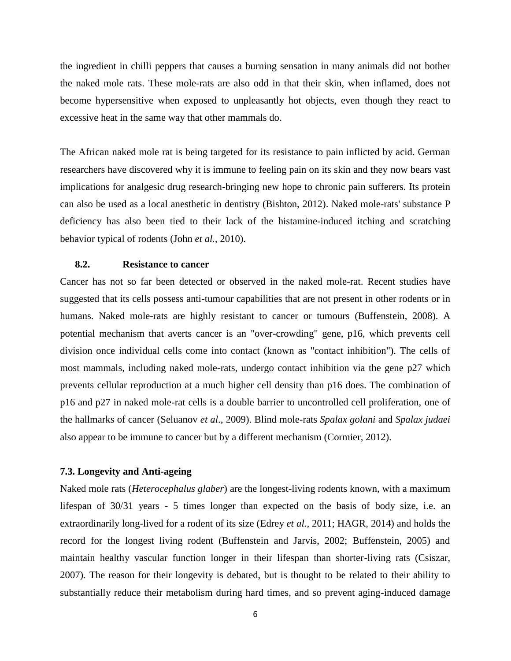the ingredient in chilli peppers that causes a burning sensation in many animals did not bother the naked mole rats. These mole-rats are also odd in that their skin, when inflamed, does not become hypersensitive when exposed to unpleasantly hot objects, even though they react to excessive heat in the same way that other mammals do.

The African naked mole rat is being targeted for its resistance to pain inflicted by acid. German researchers have discovered why it is immune to feeling pain on its skin and they now bears vast implications for analgesic drug research-bringing new hope to chronic pain sufferers. Its protein can also be used as a local anesthetic in dentistry (Bishton, 2012). Naked mole-rats' substance P deficiency has also been tied to their lack of the histamine-induced itching and scratching behavior typical of rodents (John *et al.*, 2010).

## **8.2. Resistance to cancer**

Cancer has not so far been detected or observed in the naked mole-rat. Recent studies have suggested that its cells possess anti-tumour capabilities that are not present in other rodents or in humans. Naked mole-rats are highly resistant to cancer or tumours (Buffenstein, 2008). A potential mechanism that averts cancer is an "over-crowding" gene, p16, which prevents cell division once individual cells come into contact (known as "contact inhibition"). The cells of most mammals, including naked mole-rats, undergo contact inhibition via the gene p27 which prevents cellular reproduction at a much higher cell density than p16 does. The combination of p16 and p27 in naked mole-rat cells is a double barrier to uncontrolled cell proliferation, one of the hallmarks of cancer (Seluanov *et al*., 2009). Blind mole-rats *Spalax golani* and *Spalax judaei* also appear to be immune to cancer but by a different mechanism (Cormier, 2012).

#### **7.3. Longevity and Anti-ageing**

Naked mole rats (*Heterocephalus glaber*) are the longest-living rodents known, with a maximum lifespan of 30/31 years - 5 times longer than expected on the basis of body size, i.e. an extraordinarily long-lived for a rodent of its size (Edrey *et al.*, 2011; HAGR, 2014) and holds the record for the longest living rodent (Buffenstein and Jarvis, 2002; Buffenstein, 2005) and maintain healthy vascular function longer in their lifespan than shorter-living rats (Csiszar, 2007). The reason for their longevity is debated, but is thought to be related to their ability to substantially reduce their metabolism during hard times, and so prevent aging-induced damage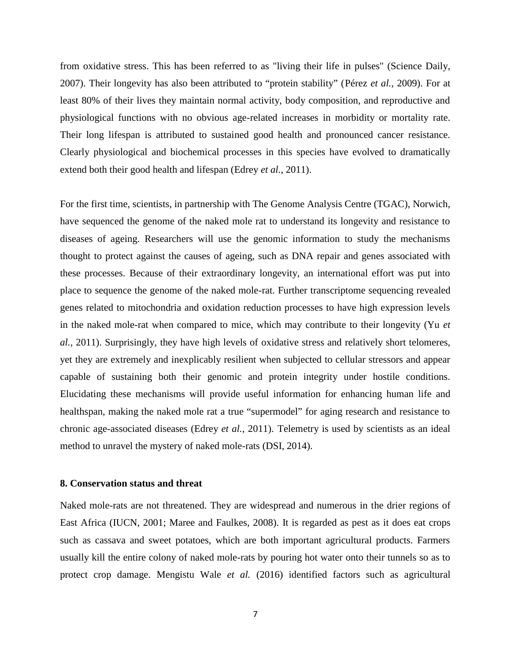from oxidative stress. This has been referred to as "living their life in pulses" (Science Daily, 2007). Their longevity has also been attributed to "protein stability" (Pérez *et al.*, 2009). For at least 80% of their lives they maintain normal activity, body composition, and reproductive and physiological functions with no obvious age-related increases in morbidity or mortality rate. Their long lifespan is attributed to sustained good health and pronounced cancer resistance. Clearly physiological and biochemical processes in this species have evolved to dramatically extend both their good health and lifespan (Edrey *et al.*, 2011).

For the first time, scientists, in partnership with The Genome Analysis Centre (TGAC), Norwich, have sequenced the genome of the naked mole rat to understand its longevity and resistance to diseases of ageing. Researchers will use the genomic information to study the mechanisms thought to protect against the causes of ageing, such as DNA repair and genes associated with these processes. Because of their extraordinary longevity, an international effort was put into place to sequence the genome of the naked mole-rat. Further transcriptome sequencing revealed genes related to mitochondria and oxidation reduction processes to have high expression levels in the naked mole-rat when compared to mice, which may contribute to their longevity (Yu *et al.*, 2011). Surprisingly, they have high levels of oxidative stress and relatively short telomeres, yet they are extremely and inexplicably resilient when subjected to cellular stressors and appear capable of sustaining both their genomic and protein integrity under hostile conditions. Elucidating these mechanisms will provide useful information for enhancing human life and healthspan, making the naked mole rat a true "supermodel" for aging research and resistance to chronic age-associated diseases (Edrey *et al.*, 2011). Telemetry is used by scientists as an ideal method to unravel the mystery of naked mole-rats (DSI, 2014).

# **8. Conservation status and threat**

Naked mole-rats are not threatened. They are widespread and numerous in the drier regions of East Africa (IUCN, 2001; Maree and Faulkes, 2008). It is regarded as pest as it does eat crops such as cassava and sweet potatoes, which are both important agricultural products. Farmers usually kill the entire colony of naked mole-rats by pouring hot water onto their tunnels so as to protect crop damage. Mengistu Wale *et al.* (2016) identified factors such as agricultural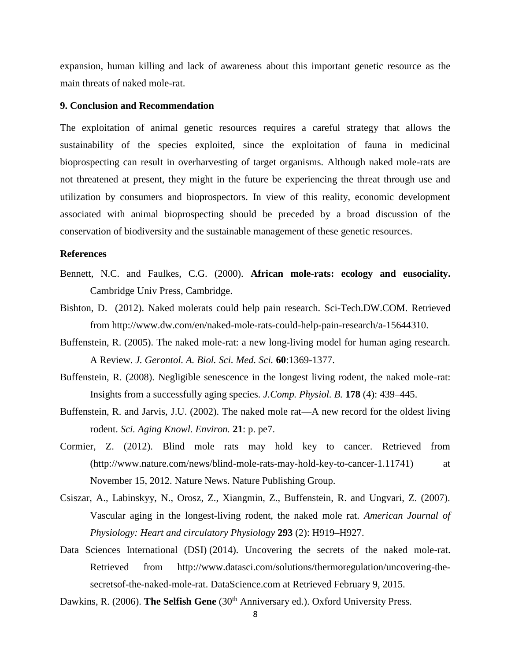expansion, human killing and lack of awareness about this important genetic resource as the main threats of naked mole-rat.

### **9. Conclusion and Recommendation**

The exploitation of animal genetic resources requires a careful strategy that allows the sustainability of the species exploited, since the exploitation of fauna in medicinal bioprospecting can result in overharvesting of target organisms. Although naked mole-rats are not threatened at present, they might in the future be experiencing the threat through use and utilization by consumers and bioprospectors. In view of this reality, economic development associated with animal bioprospecting should be preceded by a broad discussion of the conservation of biodiversity and the sustainable management of these genetic resources.

# **References**

- Bennett, N.C. and Faulkes, C.G. (2000). **African mole-rats: ecology and eusociality.** Cambridge Univ Press, Cambridge.
- Bishton, D. (2012). Naked molerats could help pain research. Sci-Tech.DW.COM. Retrieved from http://www.dw.com/en/naked-mole-rats-could-help-pain-research/a-15644310.
- Buffenstein, R. (2005). The naked mole-rat: a new long-living model for human aging research. A Review. *J. Gerontol. A. Biol. Sci. Med. Sci.* **60**:1369-1377.
- Buffenstein, R. (2008). Negligible senescence in the longest living rodent, the naked mole-rat: Insights from a successfully aging species. *J.Comp. Physiol. B.* **178** (4): 439–445.
- Buffenstein, R. and Jarvis, J.U. (2002). The naked mole rat—A new record for the oldest living rodent. *Sci. Aging Knowl. Environ.* **21**: p. pe7.
- Cormier, Z. (2012). Blind mole rats may hold key to cancer. Retrieved from (http://www.nature.com/news/blind-mole-rats-may-hold-key-to-cancer-1.11741) at November 15, 2012. Nature News. Nature Publishing Group.
- Csiszar, A., Labinskyy, N., Orosz, Z., Xiangmin, Z., Buffenstein, R. and Ungvari, Z. (2007). Vascular aging in the longest-living rodent, the naked mole rat. *American Journal of Physiology: Heart and circulatory Physiology* **293** (2): H919–H927.
- Data Sciences International (DSI) (2014). Uncovering the secrets of the naked mole-rat. Retrieved from http://www.datasci.com/solutions/thermoregulation/uncovering-thesecretsof-the-naked-mole-rat. DataScience.com at Retrieved February 9, 2015.
- Dawkins, R. (2006). **The Selfish Gene** (30<sup>th</sup> Anniversary ed.). Oxford University Press.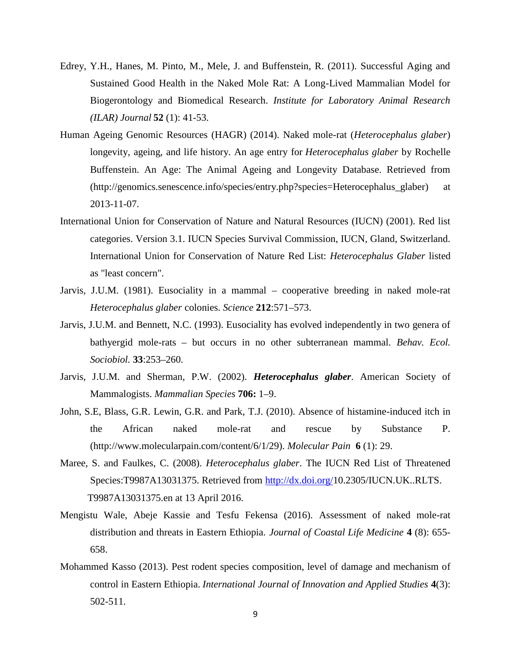- Edrey, Y.H., Hanes, M. Pinto, M., Mele, J. and Buffenstein, R. (2011). Successful Aging and Sustained Good Health in the Naked Mole Rat: A Long-Lived Mammalian Model for Biogerontology and Biomedical Research. *Institute for Laboratory Animal Research (ILAR) Journal* **52** (1): 41-53.
- Human Ageing Genomic Resources (HAGR) (2014). Naked mole-rat (*Heterocephalus glaber*) longevity, ageing, and life history. An age entry for *Heterocephalus glaber* by Rochelle Buffenstein. An Age: The Animal Ageing and Longevity Database. Retrieved from (http://genomics.senescence.info/species/entry.php?species=Heterocephalus\_glaber) at 2013-11-07.
- International Union for Conservation of Nature and Natural Resources (IUCN) (2001). Red list categories. Version 3.1. IUCN Species Survival Commission, IUCN, Gland, Switzerland. International Union for Conservation of Nature Red List: *Heterocephalus Glaber* listed as "least concern".
- Jarvis, J.U.M. (1981). Eusociality in a mammal cooperative breeding in naked mole-rat *Heterocephalus glaber* colonies. *Science* **212**:571–573.
- Jarvis, J.U.M. and Bennett, N.C. (1993). Eusociality has evolved independently in two genera of bathyergid mole-rats – but occurs in no other subterranean mammal. *Behav. Ecol. Sociobiol.* **33**:253–260.
- Jarvis, J.U.M. and Sherman, P.W. (2002). *Heterocephalus glaber*. American Society of Mammalogists. *Mammalian Species* **706:** 1–9.
- John, S.E, Blass, G.R. Lewin, G.R. and Park, T.J. (2010). Absence of histamine-induced itch in the African naked mole-rat and rescue by Substance P. (http://www.molecularpain.com/content/6/1/29). *Molecular Pain* **6** (1): 29.
- Maree, S. and Faulkes, C. (2008). *Heterocephalus glaber*. The IUCN Red List of Threatened Species:T9987A13031375. Retrieved from http://dx.doi.org/10.2305/IUCN.UK..RLTS. T9987A13031375.en at 13 April 2016.
- Mengistu Wale, Abeje Kassie and Tesfu Fekensa (2016). Assessment of naked mole-rat distribution and threats in Eastern Ethiopia. *Journal of Coastal Life Medicine* **4** (8): 655- 658.
- Mohammed Kasso (2013). Pest rodent species composition, level of damage and mechanism of control in Eastern Ethiopia. *International Journal of Innovation and Applied Studies* **4**(3): 502-511.